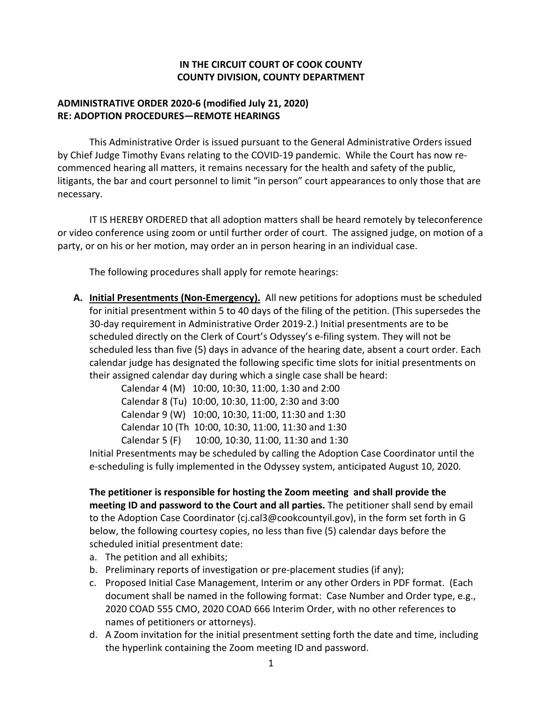## **IN THE CIRCUIT COURT OF COOK COUNTY COUNTY DIVISION, COUNTY DEPARTMENT**

## **ADMINISTRATIVE ORDER 2020-6 (modified July 21, 2020) RE: ADOPTION PROCEDURES—REMOTE HEARINGS**

This Administrative Order is issued pursuant to the General Administrative Orders issued by Chief Judge Timothy Evans relating to the COVID-19 pandemic. While the Court has now recommenced hearing all matters, it remains necessary for the health and safety of the public, litigants, the bar and court personnel to limit "in person" court appearances to only those that are necessary.

IT IS HEREBY ORDERED that all adoption matters shall be heard remotely by teleconference or video conference using zoom or until further order of court. The assigned judge, on motion of a party, or on his or her motion, may order an in person hearing in an individual case.

The following procedures shall apply for remote hearings:

**A. Initial Presentments (Non-Emergency).** All new petitions for adoptions must be scheduled for initial presentment within 5 to 40 days of the filing of the petition. (This supersedes the 30-day requirement in Administrative Order 2019-2.) Initial presentments are to be scheduled directly on the Clerk of Court's Odyssey's e-filing system. They will not be scheduled less than five (5) days in advance of the hearing date, absent a court order. Each calendar judge has designated the following specific time slots for initial presentments on their assigned calendar day during which a single case shall be heard:

> Calendar 4 (M) 10:00, 10:30, 11:00, 1:30 and 2:00 Calendar 8 (Tu) 10:00, 10:30, 11:00, 2:30 and 3:00 Calendar 9 (W) 10:00, 10:30, 11:00, 11:30 and 1:30 Calendar 10 (Th 10:00, 10:30, 11:00, 11:30 and 1:30 Calendar 5 (F) 10:00, 10:30, 11:00, 11:30 and 1:30

Initial Presentments may be scheduled by calling the Adoption Case Coordinator until the e-scheduling is fully implemented in the Odyssey system, anticipated August 10, 2020.

**The petitioner is responsible for hosting the Zoom meeting and shall provide the meeting ID and password to the Court and all parties.** The petitioner shall send by email to the Adoption Case Coordinator (cj.cal3@cookcountyil.gov), in the form set forth in G below, the following courtesy copies, no less than five (5) calendar days before the scheduled initial presentment date:

- a. The petition and all exhibits;
- b. Preliminary reports of investigation or pre-placement studies (if any);
- c. Proposed Initial Case Management, Interim or any other Orders in PDF format. (Each document shall be named in the following format: Case Number and Order type, e.g., 2020 COAD 555 CMO, 2020 COAD 666 Interim Order, with no other references to names of petitioners or attorneys).
- d. A Zoom invitation for the initial presentment setting forth the date and time, including the hyperlink containing the Zoom meeting ID and password.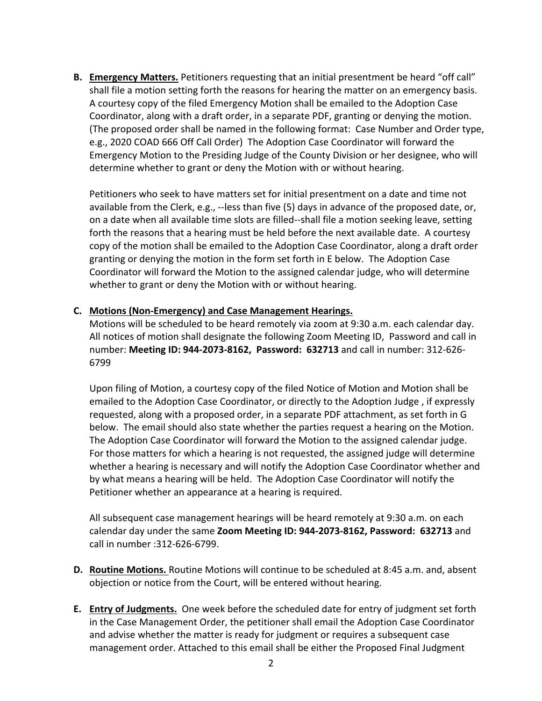**B. Emergency Matters.** Petitioners requesting that an initial presentment be heard "off call" shall file a motion setting forth the reasons for hearing the matter on an emergency basis. A courtesy copy of the filed Emergency Motion shall be emailed to the Adoption Case Coordinator, along with a draft order, in a separate PDF, granting or denying the motion. (The proposed order shall be named in the following format: Case Number and Order type, e.g., 2020 COAD 666 Off Call Order) The Adoption Case Coordinator will forward the Emergency Motion to the Presiding Judge of the County Division or her designee, who will determine whether to grant or deny the Motion with or without hearing.

Petitioners who seek to have matters set for initial presentment on a date and time not available from the Clerk, e.g., --less than five (5) days in advance of the proposed date, or, on a date when all available time slots are filled--shall file a motion seeking leave, setting forth the reasons that a hearing must be held before the next available date. A courtesy copy of the motion shall be emailed to the Adoption Case Coordinator, along a draft order granting or denying the motion in the form set forth in E below. The Adoption Case Coordinator will forward the Motion to the assigned calendar judge, who will determine whether to grant or deny the Motion with or without hearing.

## **C. Motions (Non-Emergency) and Case Management Hearings.**

Motions will be scheduled to be heard remotely via zoom at 9:30 a.m. each calendar day. All notices of motion shall designate the following Zoom Meeting ID, Password and call in number: **Meeting ID: 944-2073-8162, Password: 632713** and call in number: 312-626- 6799

Upon filing of Motion, a courtesy copy of the filed Notice of Motion and Motion shall be emailed to the Adoption Case Coordinator, or directly to the Adoption Judge , if expressly requested, along with a proposed order, in a separate PDF attachment, as set forth in G below. The email should also state whether the parties request a hearing on the Motion. The Adoption Case Coordinator will forward the Motion to the assigned calendar judge. For those matters for which a hearing is not requested, the assigned judge will determine whether a hearing is necessary and will notify the Adoption Case Coordinator whether and by what means a hearing will be held. The Adoption Case Coordinator will notify the Petitioner whether an appearance at a hearing is required.

All subsequent case management hearings will be heard remotely at 9:30 a.m. on each calendar day under the same **Zoom Meeting ID: 944-2073-8162, Password: 632713** and call in number :312-626-6799.

- **D. Routine Motions.** Routine Motions will continue to be scheduled at 8:45 a.m. and, absent objection or notice from the Court, will be entered without hearing.
- **E. Entry of Judgments.** One week before the scheduled date for entry of judgment set forth in the Case Management Order, the petitioner shall email the Adoption Case Coordinator and advise whether the matter is ready for judgment or requires a subsequent case management order. Attached to this email shall be either the Proposed Final Judgment